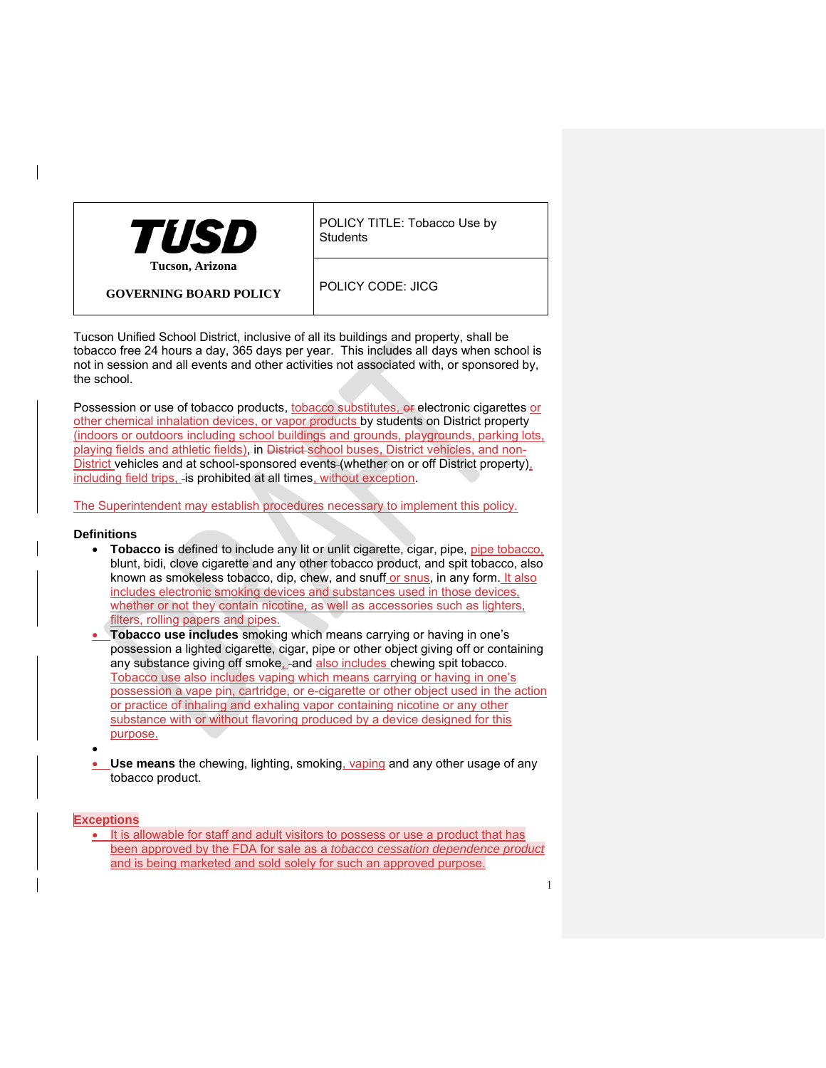

POLICY TITLE: Tobacco Use by **Students** 

**GOVERNING BOARD POLICY**

POLICY CODE: JICG

Tucson Unified School District, inclusive of all its buildings and property, shall be tobacco free 24 hours a day, 365 days per year. This includes all days when school is not in session and all events and other activities not associated with, or sponsored by, the school.

Possession or use of tobacco products, tobacco substitutes, or electronic cigarettes or other chemical inhalation devices, or vapor products by students on District property (indoors or outdoors including school buildings and grounds, playgrounds, parking lots, playing fields and athletic fields), in District school buses, District vehicles, and non-District vehicles and at school-sponsored events (whether on or off District property), including field trips, - is prohibited at all times, without exception.

The Superintendent may establish procedures necessary to implement this policy.

## **Definitions**

- **Tobacco is defined to include any lit or unlit cigarette, cigar, pipe, pipe tobacco,** blunt, bidi, clove cigarette and any other tobacco product, and spit tobacco, also known as smokeless tobacco, dip, chew, and snuff or snus, in any form. It also includes electronic smoking devices and substances used in those devices, whether or not they contain nicotine, as well as accessories such as lighters, filters, rolling papers and pipes.
- **Tobacco use includes** smoking which means carrying or having in one's possession a lighted cigarette, cigar, pipe or other object giving off or containing any substance giving off smoke, and also includes chewing spit tobacco. Tobacco use also includes vaping which means carrying or having in one's possession a vape pin, cartridge, or e-cigarette or other object used in the action or practice of inhaling and exhaling vapor containing nicotine or any other substance with or without flavoring produced by a device designed for this purpose.
- **Use means** the chewing, lighting, smoking, vaping and any other usage of any tobacco product.

## **Exceptions**

•

• It is allowable for staff and adult visitors to possess or use a product that has been approved by the FDA for sale as a *tobacco cessation dependence product*  and is being marketed and sold solely for such an approved purpose.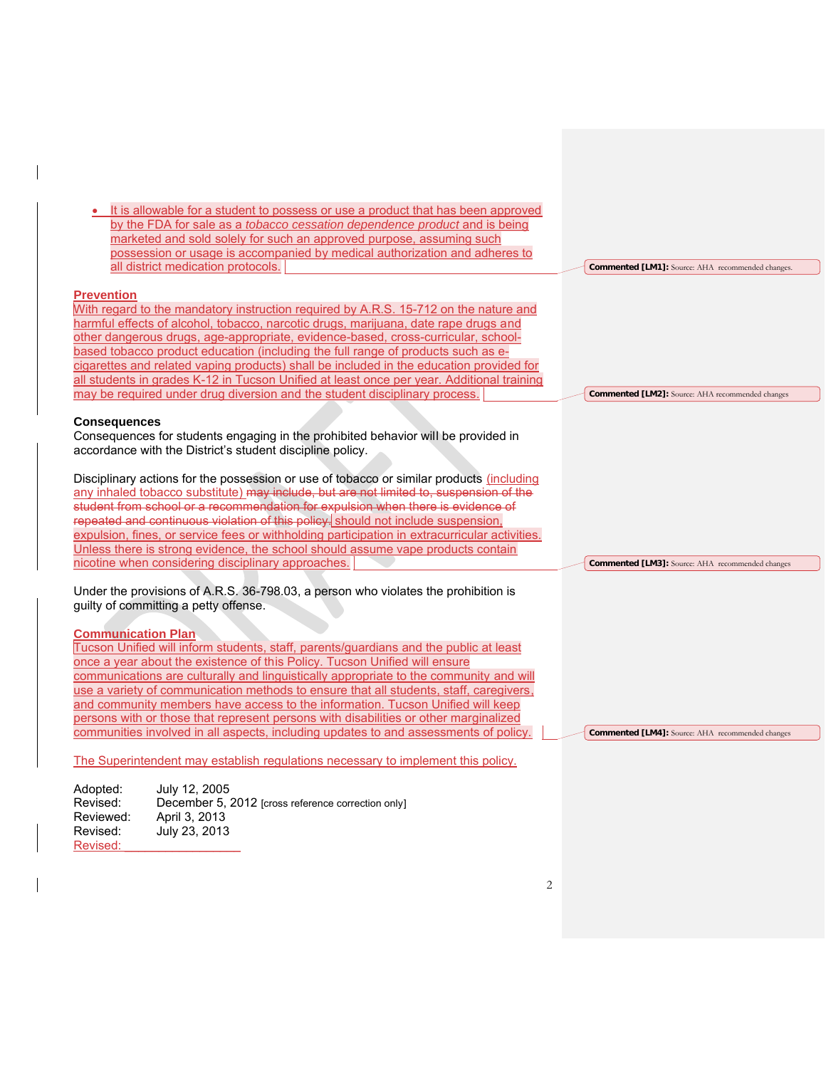| It is allowable for a student to possess or use a product that has been approved<br>by the FDA for sale as a tobacco cessation dependence product and is being<br>marketed and sold solely for such an approved purpose, assuming such<br>possession or usage is accompanied by medical authorization and adheres to<br>all district medication protocols.                                                                                                                                                                                                                                                                                             | Commented [LM1]: Source: AHA recommended changes. |
|--------------------------------------------------------------------------------------------------------------------------------------------------------------------------------------------------------------------------------------------------------------------------------------------------------------------------------------------------------------------------------------------------------------------------------------------------------------------------------------------------------------------------------------------------------------------------------------------------------------------------------------------------------|---------------------------------------------------|
| <b>Prevention</b><br>With regard to the mandatory instruction required by A.R.S. 15-712 on the nature and<br>harmful effects of alcohol, tobacco, narcotic drugs, marijuana, date rape drugs and<br>other dangerous drugs, age-appropriate, evidence-based, cross-curricular, school-<br>based tobacco product education (including the full range of products such as e-<br>cigarettes and related vaping products) shall be included in the education provided for                                                                                                                                                                                   |                                                   |
| all students in grades K-12 in Tucson Unified at least once per year. Additional training<br>may be required under drug diversion and the student disciplinary process.                                                                                                                                                                                                                                                                                                                                                                                                                                                                                | Commented [LM2]: Source: AHA recommended changes  |
| <b>Consequences</b><br>Consequences for students engaging in the prohibited behavior will be provided in<br>accordance with the District's student discipline policy.                                                                                                                                                                                                                                                                                                                                                                                                                                                                                  |                                                   |
| Disciplinary actions for the possession or use of tobacco or similar products (including<br>any inhaled tobacco substitute) may include, but are not limited to, suspension of the<br>student from school or a recommendation for expulsion when there is evidence of<br>repeated and continuous violation of this policy. should not include suspension,<br>expulsion, fines, or service fees or withholding participation in extracurricular activities.<br>Unless there is strong evidence, the school should assume vape products contain                                                                                                          |                                                   |
| nicotine when considering disciplinary approaches.<br>Under the provisions of A.R.S. 36-798.03, a person who violates the prohibition is<br>guilty of committing a petty offense.                                                                                                                                                                                                                                                                                                                                                                                                                                                                      | Commented [LM3]: Source: AHA recommended changes  |
| <b>Communication Plan</b><br>Tucson Unified will inform students, staff, parents/guardians and the public at least<br>once a year about the existence of this Policy. Tucson Unified will ensure<br>communications are culturally and linguistically appropriate to the community and will<br>use a variety of communication methods to ensure that all students, staff, caregivers,<br>and community members have access to the information. Tucson Unified will keep<br>persons with or those that represent persons with disabilities or other marginalized<br>communities involved in all aspects, including updates to and assessments of policy. | Commented [LM4]: Source: AHA recommended changes  |
| The Superintendent may establish regulations necessary to implement this policy.                                                                                                                                                                                                                                                                                                                                                                                                                                                                                                                                                                       |                                                   |
| Adopted:<br>July 12, 2005<br>Revised:<br>December 5, 2012 [cross reference correction only]<br>Reviewed:<br>April 3, 2013<br>Revised:<br>July 23, 2013                                                                                                                                                                                                                                                                                                                                                                                                                                                                                                 |                                                   |

Revised:

 $\overline{1}$